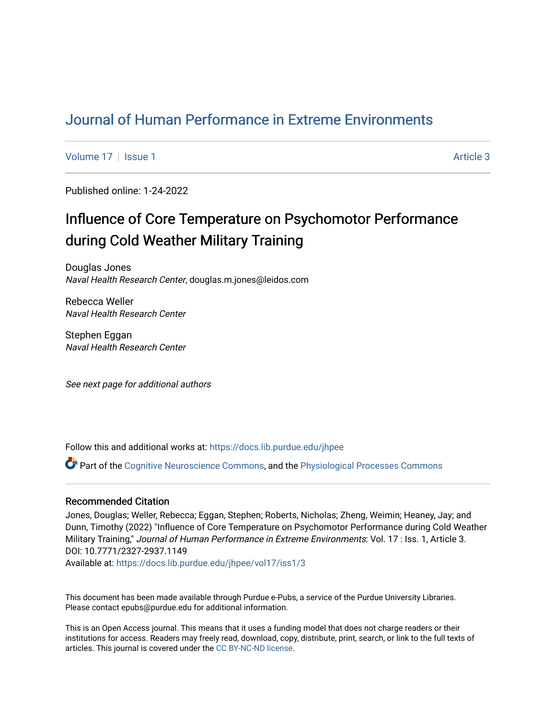## [Journal of Human Performance in Extreme Environments](https://docs.lib.purdue.edu/jhpee)

[Volume 17](https://docs.lib.purdue.edu/jhpee/vol17) | [Issue 1](https://docs.lib.purdue.edu/jhpee/vol17/iss1) Article 3

Published online: 1-24-2022

# Influence of Core Temperature on Psychomotor Performance during Cold Weather Military Training

Douglas Jones Naval Health Research Center, douglas.m.jones@leidos.com

Rebecca Weller Naval Health Research Center

Stephen Eggan Naval Health Research Center

See next page for additional authors

Follow this and additional works at: [https://docs.lib.purdue.edu/jhpee](https://docs.lib.purdue.edu/jhpee?utm_source=docs.lib.purdue.edu%2Fjhpee%2Fvol17%2Fiss1%2F3&utm_medium=PDF&utm_campaign=PDFCoverPages) 

Part of the [Cognitive Neuroscience Commons,](http://network.bepress.com/hgg/discipline/57?utm_source=docs.lib.purdue.edu%2Fjhpee%2Fvol17%2Fiss1%2F3&utm_medium=PDF&utm_campaign=PDFCoverPages) and the [Physiological Processes Commons](http://network.bepress.com/hgg/discipline/916?utm_source=docs.lib.purdue.edu%2Fjhpee%2Fvol17%2Fiss1%2F3&utm_medium=PDF&utm_campaign=PDFCoverPages) 

### Recommended Citation

Jones, Douglas; Weller, Rebecca; Eggan, Stephen; Roberts, Nicholas; Zheng, Weimin; Heaney, Jay; and Dunn, Timothy (2022) "Influence of Core Temperature on Psychomotor Performance during Cold Weather Military Training," Journal of Human Performance in Extreme Environments: Vol. 17 : Iss. 1, Article 3. DOI: 10.7771/2327-2937.1149

Available at: [https://docs.lib.purdue.edu/jhpee/vol17/iss1/3](https://docs.lib.purdue.edu/jhpee/vol17/iss1/3?utm_source=docs.lib.purdue.edu%2Fjhpee%2Fvol17%2Fiss1%2F3&utm_medium=PDF&utm_campaign=PDFCoverPages) 

This document has been made available through Purdue e-Pubs, a service of the Purdue University Libraries. Please contact epubs@purdue.edu for additional information.

This is an Open Access journal. This means that it uses a funding model that does not charge readers or their institutions for access. Readers may freely read, download, copy, distribute, print, search, or link to the full texts of articles. This journal is covered under the [CC BY-NC-ND license](https://creativecommons.org/licenses/by-nc-nd/4.0/).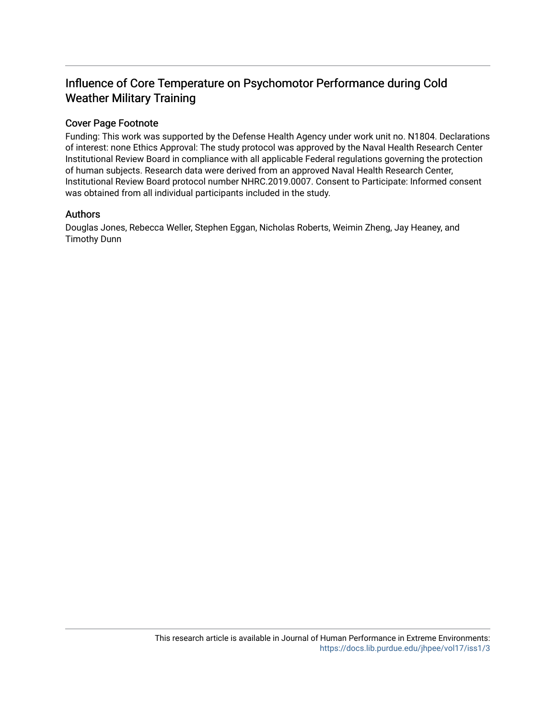## Influence of Core Temperature on Psychomotor Performance during Cold Weather Military Training

### Cover Page Footnote

Funding: This work was supported by the Defense Health Agency under work unit no. N1804. Declarations of interest: none Ethics Approval: The study protocol was approved by the Naval Health Research Center Institutional Review Board in compliance with all applicable Federal regulations governing the protection of human subjects. Research data were derived from an approved Naval Health Research Center, Institutional Review Board protocol number NHRC.2019.0007. Consent to Participate: Informed consent was obtained from all individual participants included in the study.

### Authors

Douglas Jones, Rebecca Weller, Stephen Eggan, Nicholas Roberts, Weimin Zheng, Jay Heaney, and Timothy Dunn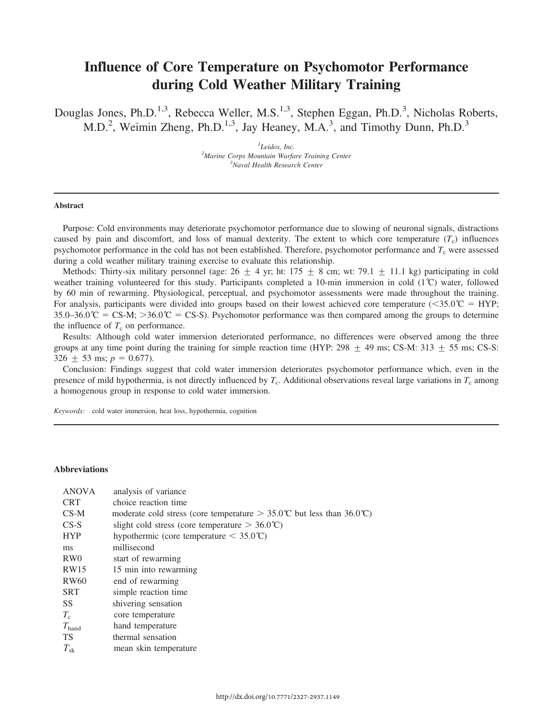## Influence of Core Temperature on Psychomotor Performance during Cold Weather Military Training

Douglas Jones, Ph.D.<sup>1,3</sup>, Rebecca Weller, M.S.<sup>1,3</sup>, Stephen Eggan, Ph.D.<sup>3</sup>, Nicholas Roberts, M.D.<sup>2</sup>, Weimin Zheng, Ph.D.<sup>1,3</sup>, Jay Heaney, M.A.<sup>3</sup>, and Timothy Dunn, Ph.D.<sup>3</sup>

> $<sup>1</sup>$ Leidos, Inc.</sup> Leidos, Inc.<br><sup>2</sup>Marine Corps Mountain Warfare Training Center<sup>2</sup> <sup>3</sup>Naval Health Research Center

#### Abstract

Purpose: Cold environments may deteriorate psychomotor performance due to slowing of neuronal signals, distractions caused by pain and discomfort, and loss of manual dexterity. The extent to which core temperature  $(T_c)$  influences psychomotor performance in the cold has not been established. Therefore, psychomotor performance and  $T_c$  were assessed during a cold weather military training exercise to evaluate this relationship.

Methods: Thirty-six military personnel (age:  $26 \pm 4$  yr; ht: 175  $\pm 8$  cm; wt: 79.1  $\pm$  11.1 kg) participating in cold weather training volunteered for this study. Participants completed a 10-min immersion in cold (1˚C) water, followed by 60 min of rewarming. Physiological, perceptual, and psychomotor assessments were made throughout the training. For analysis, participants were divided into groups based on their lowest achieved core temperature ( $\langle 35.0^{\circ}C = HYP;$  $35.0-36.0^{\circ}\text{C} = \text{CS-M}$ ;  $>36.0^{\circ}\text{C} = \text{CS-S}$ ). Psychomotor performance was then compared among the groups to determine the influence of  $T_c$  on performance.

Results: Although cold water immersion deteriorated performance, no differences were observed among the three groups at any time point during the training for simple reaction time (HYP: 298  $\pm$  49 ms; CS-M: 313  $\pm$  55 ms; CS-S:  $326 \pm 53$  ms;  $p = 0.677$ ).

Conclusion: Findings suggest that cold water immersion deteriorates psychomotor performance which, even in the presence of mild hypothermia, is not directly influenced by  $T_c$ . Additional observations reveal large variations in  $T_c$  among a homogenous group in response to cold water immersion.

Keywords: cold water immersion, heat loss, hypothermia, cognition

#### Abbreviations

| <b>ANOVA</b>       | analysis of variance                                                             |
|--------------------|----------------------------------------------------------------------------------|
| <b>CRT</b>         | choice reaction time                                                             |
| $CS-M$             | moderate cold stress (core temperature $> 35.0^{\circ}$ C but less than 36.0 °C) |
| $CS-S$             | slight cold stress (core temperature $> 36.0^{\circ}$ C)                         |
| <b>HYP</b>         | hypothermic (core temperature $\leq 35.0^{\circ}$ C)                             |
| ms                 | millisecond                                                                      |
| RW <sub>0</sub>    | start of rewarming                                                               |
| RW15               | 15 min into rewarming                                                            |
| <b>RW60</b>        | end of rewarming                                                                 |
| <b>SRT</b>         | simple reaction time                                                             |
| <b>SS</b>          | shivering sensation                                                              |
| $T_c$              | core temperature                                                                 |
| $T_{\rm hand}$     | hand temperature                                                                 |
| <b>TS</b>          | thermal sensation                                                                |
| $\bar{T}_{\rm sk}$ | mean skin temperature                                                            |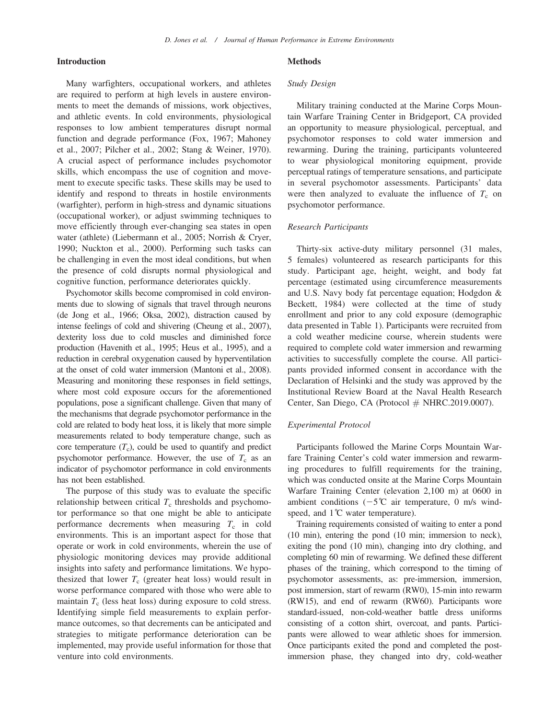#### Introduction

Many warfighters, occupational workers, and athletes are required to perform at high levels in austere environments to meet the demands of missions, work objectives, and athletic events. In cold environments, physiological responses to low ambient temperatures disrupt normal function and degrade performance (Fox, 1967; Mahoney et al., 2007; Pilcher et al., 2002; Stang & Weiner, 1970). A crucial aspect of performance includes psychomotor skills, which encompass the use of cognition and movement to execute specific tasks. These skills may be used to identify and respond to threats in hostile environments (warfighter), perform in high-stress and dynamic situations (occupational worker), or adjust swimming techniques to move efficiently through ever-changing sea states in open water (athlete) (Liebermann et al., 2005; Norrish & Cryer, 1990; Nuckton et al., 2000). Performing such tasks can be challenging in even the most ideal conditions, but when the presence of cold disrupts normal physiological and cognitive function, performance deteriorates quickly.

Psychomotor skills become compromised in cold environments due to slowing of signals that travel through neurons (de Jong et al., 1966; Oksa, 2002), distraction caused by intense feelings of cold and shivering (Cheung et al., 2007), dexterity loss due to cold muscles and diminished force production (Havenith et al., 1995; Heus et al., 1995), and a reduction in cerebral oxygenation caused by hyperventilation at the onset of cold water immersion (Mantoni et al., 2008). Measuring and monitoring these responses in field settings, where most cold exposure occurs for the aforementioned populations, pose a significant challenge. Given that many of the mechanisms that degrade psychomotor performance in the cold are related to body heat loss, it is likely that more simple measurements related to body temperature change, such as core temperature  $(T_c)$ , could be used to quantify and predict psychomotor performance. However, the use of  $T_c$  as an indicator of psychomotor performance in cold environments has not been established.

The purpose of this study was to evaluate the specific relationship between critical  $T_c$  thresholds and psychomotor performance so that one might be able to anticipate performance decrements when measuring  $T_c$  in cold environments. This is an important aspect for those that operate or work in cold environments, wherein the use of physiologic monitoring devices may provide additional insights into safety and performance limitations. We hypothesized that lower  $T_c$  (greater heat loss) would result in worse performance compared with those who were able to maintain  $T_c$  (less heat loss) during exposure to cold stress. Identifying simple field measurements to explain performance outcomes, so that decrements can be anticipated and strategies to mitigate performance deterioration can be implemented, may provide useful information for those that venture into cold environments.

#### Methods

#### Study Design

Military training conducted at the Marine Corps Mountain Warfare Training Center in Bridgeport, CA provided an opportunity to measure physiological, perceptual, and psychomotor responses to cold water immersion and rewarming. During the training, participants volunteered to wear physiological monitoring equipment, provide perceptual ratings of temperature sensations, and participate in several psychomotor assessments. Participants' data were then analyzed to evaluate the influence of  $T_c$  on psychomotor performance.

#### Research Participants

Thirty-six active-duty military personnel (31 males, 5 females) volunteered as research participants for this study. Participant age, height, weight, and body fat percentage (estimated using circumference measurements and U.S. Navy body fat percentage equation; Hodgdon & Beckett, 1984) were collected at the time of study enrollment and prior to any cold exposure (demographic data presented in Table 1). Participants were recruited from a cold weather medicine course, wherein students were required to complete cold water immersion and rewarming activities to successfully complete the course. All participants provided informed consent in accordance with the Declaration of Helsinki and the study was approved by the Institutional Review Board at the Naval Health Research Center, San Diego, CA (Protocol  $#$  NHRC.2019.0007).

#### Experimental Protocol

Participants followed the Marine Corps Mountain Warfare Training Center's cold water immersion and rewarming procedures to fulfill requirements for the training, which was conducted onsite at the Marine Corps Mountain Warfare Training Center (elevation 2,100 m) at 0600 in ambient conditions  $(-5^{\circ}\text{C})$  air temperature, 0 m/s windspeed, and  $1^\circ$ C water temperature).

Training requirements consisted of waiting to enter a pond (10 min), entering the pond (10 min; immersion to neck), exiting the pond (10 min), changing into dry clothing, and completing 60 min of rewarming. We defined these different phases of the training, which correspond to the timing of psychomotor assessments, as: pre-immersion, immersion, post immersion, start of rewarm (RW0), 15-min into rewarm (RW15), and end of rewarm (RW60). Participants wore standard-issued, non-cold-weather battle dress uniforms consisting of a cotton shirt, overcoat, and pants. Participants were allowed to wear athletic shoes for immersion. Once participants exited the pond and completed the postimmersion phase, they changed into dry, cold-weather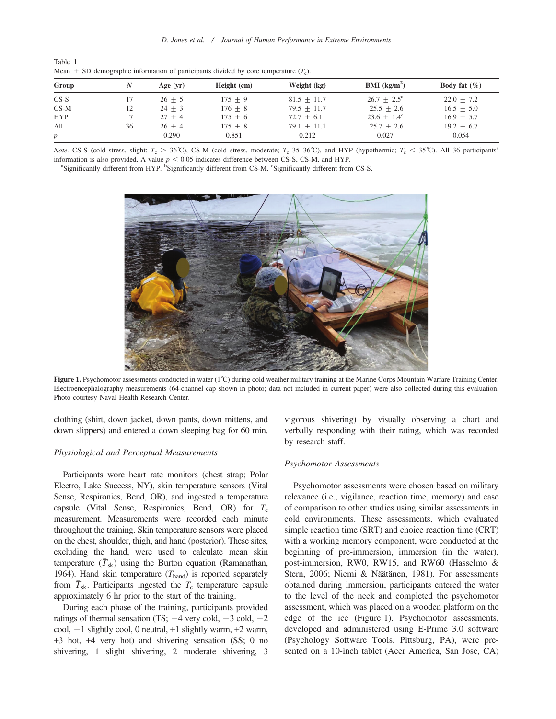| Table 1 |  |                                                                                             |  |  |  |  |
|---------|--|---------------------------------------------------------------------------------------------|--|--|--|--|
|         |  | Mean $\pm$ SD demographic information of participants divided by core temperature $(T_c)$ . |  |  |  |  |

| Group            |    | Age $(yr)$ | Height (cm) | Weight (kg)     | <b>BMI</b> ( $kg/m2$ )    | Body fat $(\% )$ |
|------------------|----|------------|-------------|-----------------|---------------------------|------------------|
| $CS-S$           |    | $26 + 5$   | $175 + 9$   | $81.5 + 11.7$   | $26.7 + 2.5^{\mathrm{a}}$ | $22.0 \pm 7.2$   |
| $CS-M$           | 12 | $24 + 3$   | $176 + 8$   | $79.5 + 11.7$   | $25.5 + 2.6$              | $16.5 + 5.0$     |
| <b>HYP</b>       |    | $27 + 4$   | $175 + 6$   | $72.7 + 6.1$    | $23.6 + 1.4^c$            | $16.9 + 5.7$     |
| All              | 36 | $26 + 4$   | $175 \pm 8$ | 79.1 $\pm$ 11.1 | $25.7 + 2.6$              | $19.2 \pm 6.7$   |
| $\boldsymbol{p}$ |    | 0.290      | 0.851       | 0.212           | 0.027                     | 0.054            |

Note. CS-S (cold stress, slight;  $T_c > 36^{\circ}$ C), CS-M (cold stress, moderate;  $T_c$  35–36°C), and HYP (hypothermic;  $T_c < 35^{\circ}$ C). All 36 participants' information is also provided. A value  $p < 0.05$  indicates difference between CS-S, CS-M, and HYP.

Significantly different from HYP. <sup>b</sup>Significantly different from CS-M. <sup>c</sup>Significantly different from CS-S.



Figure 1. Psychomotor assessments conducted in water (1°C) during cold weather military training at the Marine Corps Mountain Warfare Training Center. Electroencephalography measurements (64-channel cap shown in photo; data not included in current paper) were also collected during this evaluation. Photo courtesy Naval Health Research Center.

clothing (shirt, down jacket, down pants, down mittens, and down slippers) and entered a down sleeping bag for 60 min.

#### Physiological and Perceptual Measurements

Participants wore heart rate monitors (chest strap; Polar Electro, Lake Success, NY), skin temperature sensors (Vital Sense, Respironics, Bend, OR), and ingested a temperature capsule (Vital Sense, Respironics, Bend, OR) for  $T_c$ measurement. Measurements were recorded each minute throughout the training. Skin temperature sensors were placed on the chest, shoulder, thigh, and hand (posterior). These sites, excluding the hand, were used to calculate mean skin temperature  $(\bar{T}_{sk})$  using the Burton equation (Ramanathan, 1964). Hand skin temperature  $(T_{\text{hand}})$  is reported separately from  $\bar{T}_{sk}$ . Participants ingested the  $T_c$  temperature capsule approximately 6 hr prior to the start of the training.

During each phase of the training, participants provided ratings of thermal sensation (TS;  $-4$  very cold,  $-3$  cold,  $-2$ cool,  $-1$  slightly cool, 0 neutral,  $+1$  slightly warm,  $+2$  warm, +3 hot, +4 very hot) and shivering sensation (SS; 0 no shivering, 1 slight shivering, 2 moderate shivering, 3

vigorous shivering) by visually observing a chart and verbally responding with their rating, which was recorded by research staff.

#### Psychomotor Assessments

Psychomotor assessments were chosen based on military relevance (i.e., vigilance, reaction time, memory) and ease of comparison to other studies using similar assessments in cold environments. These assessments, which evaluated simple reaction time (SRT) and choice reaction time (CRT) with a working memory component, were conducted at the beginning of pre-immersion, immersion (in the water), post-immersion, RW0, RW15, and RW60 (Hasselmo & Stern, 2006; Niemi & Näätänen, 1981). For assessments obtained during immersion, participants entered the water to the level of the neck and completed the psychomotor assessment, which was placed on a wooden platform on the edge of the ice (Figure 1). Psychomotor assessments, developed and administered using E-Prime 3.0 software (Psychology Software Tools, Pittsburg, PA), were presented on a 10-inch tablet (Acer America, San Jose, CA)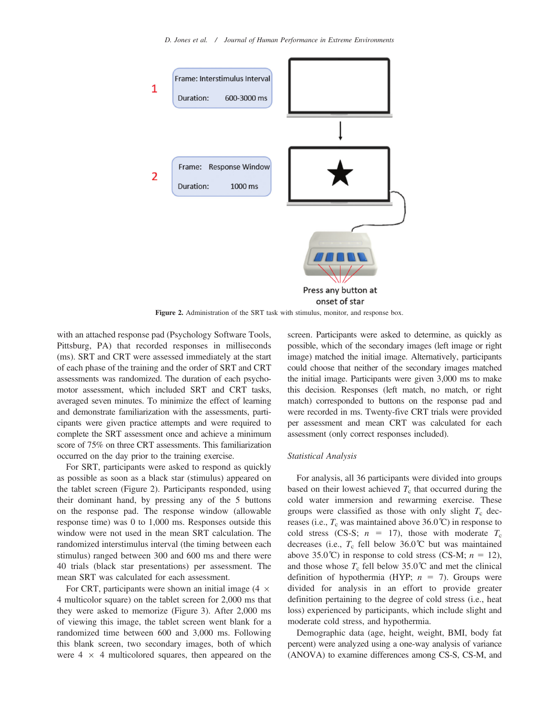

Figure 2. Administration of the SRT task with stimulus, monitor, and response box.

with an attached response pad (Psychology Software Tools, Pittsburg, PA) that recorded responses in milliseconds (ms). SRT and CRT were assessed immediately at the start of each phase of the training and the order of SRT and CRT assessments was randomized. The duration of each psychomotor assessment, which included SRT and CRT tasks, averaged seven minutes. To minimize the effect of learning and demonstrate familiarization with the assessments, participants were given practice attempts and were required to complete the SRT assessment once and achieve a minimum score of 75% on three CRT assessments. This familiarization occurred on the day prior to the training exercise.

For SRT, participants were asked to respond as quickly as possible as soon as a black star (stimulus) appeared on the tablet screen (Figure 2). Participants responded, using their dominant hand, by pressing any of the 5 buttons on the response pad. The response window (allowable response time) was 0 to 1,000 ms. Responses outside this window were not used in the mean SRT calculation. The randomized interstimulus interval (the timing between each stimulus) ranged between 300 and 600 ms and there were 40 trials (black star presentations) per assessment. The mean SRT was calculated for each assessment.

For CRT, participants were shown an initial image  $(4 \times$ 4 multicolor square) on the tablet screen for 2,000 ms that they were asked to memorize (Figure 3). After 2,000 ms of viewing this image, the tablet screen went blank for a randomized time between 600 and 3,000 ms. Following this blank screen, two secondary images, both of which were  $4 \times 4$  multicolored squares, then appeared on the

screen. Participants were asked to determine, as quickly as possible, which of the secondary images (left image or right image) matched the initial image. Alternatively, participants could choose that neither of the secondary images matched the initial image. Participants were given 3,000 ms to make this decision. Responses (left match, no match, or right match) corresponded to buttons on the response pad and were recorded in ms. Twenty-five CRT trials were provided per assessment and mean CRT was calculated for each assessment (only correct responses included).

#### Statistical Analysis

For analysis, all 36 participants were divided into groups based on their lowest achieved  $T_c$  that occurred during the cold water immersion and rewarming exercise. These groups were classified as those with only slight  $T_c$  decreases (i.e.,  $T_c$  was maintained above 36.0°C) in response to cold stress (CS-S;  $n = 17$ ), those with moderate  $T_c$ decreases (i.e.,  $T_c$  fell below 36.0°C but was maintained above 35.0°C) in response to cold stress (CS-M;  $n = 12$ ), and those whose  $T_c$  fell below 35.0<sup>°</sup>C and met the clinical definition of hypothermia (HYP;  $n = 7$ ). Groups were divided for analysis in an effort to provide greater definition pertaining to the degree of cold stress (i.e., heat loss) experienced by participants, which include slight and moderate cold stress, and hypothermia.

Demographic data (age, height, weight, BMI, body fat percent) were analyzed using a one-way analysis of variance (ANOVA) to examine differences among CS-S, CS-M, and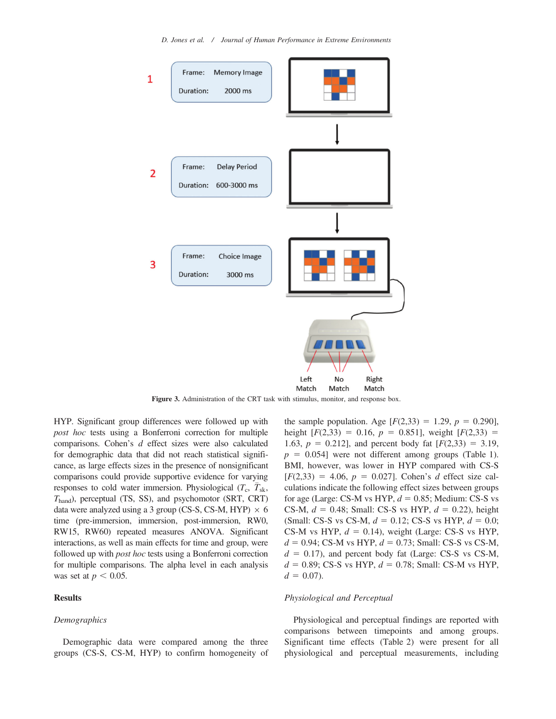

Figure 3. Administration of the CRT task with stimulus, monitor, and response box.

HYP. Significant group differences were followed up with post hoc tests using a Bonferroni correction for multiple comparisons. Cohen's d effect sizes were also calculated for demographic data that did not reach statistical significance, as large effects sizes in the presence of nonsignificant comparisons could provide supportive evidence for varying responses to cold water immersion. Physiological  $(T_c, \bar{T}_{sk},$  $T_{\text{hand}}$ ), perceptual (TS, SS), and psychomotor (SRT, CRT) data were analyzed using a 3 group (CS-S, CS-M, HYP)  $\times$  6 time (pre-immersion, immersion, post-immersion, RW0, RW15, RW60) repeated measures ANOVA. Significant interactions, as well as main effects for time and group, were followed up with post hoc tests using a Bonferroni correction for multiple comparisons. The alpha level in each analysis was set at  $p < 0.05$ .

#### Results

#### **Demographics**

Demographic data were compared among the three groups (CS-S, CS-M, HYP) to confirm homogeneity of the sample population. Age  $[F(2,33) = 1.29, p = 0.290]$ , height  $[F(2,33) = 0.16, p = 0.851]$ , weight  $[F(2,33) =$ 1.63,  $p = 0.212$ ], and percent body fat  $[F(2,33) = 3.19,$  $p = 0.054$ ] were not different among groups (Table 1). BMI, however, was lower in HYP compared with CS-S  $[F(2,33) = 4.06, p = 0.027]$ . Cohen's d effect size calculations indicate the following effect sizes between groups for age (Large: CS-M vs HYP,  $d = 0.85$ ; Medium: CS-S vs CS-M,  $d = 0.48$ ; Small: CS-S vs HYP,  $d = 0.22$ ), height (Small: CS-S vs CS-M,  $d = 0.12$ ; CS-S vs HYP,  $d = 0.0$ ; CS-M vs HYP,  $d = 0.14$ ), weight (Large: CS-S vs HYP,  $d = 0.94$ ; CS-M vs HYP,  $d = 0.73$ ; Small: CS-S vs CS-M,  $d = 0.17$ ), and percent body fat (Large: CS-S vs CS-M,  $d = 0.89$ ; CS-S vs HYP,  $d = 0.78$ ; Small: CS-M vs HYP,  $d = 0.07$ ).

#### Physiological and Perceptual

Physiological and perceptual findings are reported with comparisons between timepoints and among groups. Significant time effects (Table 2) were present for all physiological and perceptual measurements, including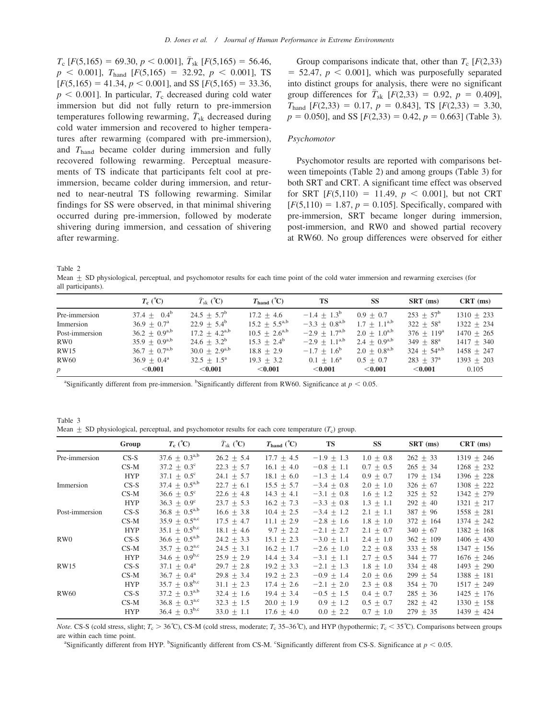$T_c$  [F(5,165) = 69.30,  $p < 0.001$ ],  $\bar{T}_{sk}$  [F(5,165) = 56.46,  $p \le 0.001$ ],  $T_{\text{hand}}$  [F(5,165) = 32.92,  $p \le 0.001$ ], TS  $[F(5,165) = 41.34, p < 0.001]$ , and SS  $[F(5,165) = 33.36,$  $p < 0.001$ ]. In particular,  $T_c$  decreased during cold water immersion but did not fully return to pre-immersion temperatures following rewarming,  $\bar{T}_{sk}$  decreased during cold water immersion and recovered to higher temperatures after rewarming (compared with pre-immersion), and  $T<sub>hand</sub>$  became colder during immersion and fully recovered following rewarming. Perceptual measurements of TS indicate that participants felt cool at preimmersion, became colder during immersion, and returned to near-neutral TS following rewarming. Similar findings for SS were observed, in that minimal shivering occurred during pre-immersion, followed by moderate shivering during immersion, and cessation of shivering after rewarming.

Group comparisons indicate that, other than  $T_c$  [F(2,33)]  $= 52.47, p < 0.001$ , which was purposefully separated into distinct groups for analysis, there were no significant group differences for  $\bar{T}_{sk}$  [ $F(2,33) = 0.92$ ,  $p = 0.409$ ],  $T_{\text{hand}}$  [F(2,33) = 0.17, p = 0.843], TS [F(2,33) = 3.30,  $p = 0.050$ ], and SS [ $F(2,33) = 0.42$ ,  $p = 0.663$ ] (Table 3).

#### Psychomotor

Psychomotor results are reported with comparisons between timepoints (Table 2) and among groups (Table 3) for both SRT and CRT. A significant time effect was observed for SRT  $[F(5,110) = 11.49, p < 0.001]$ , but not CRT  $[F(5,110) = 1.87, p = 0.105]$ . Specifically, compared with pre-immersion, SRT became longer during immersion, post-immersion, and RW0 and showed partial recovery at RW60. No group differences were observed for either

Table 2

Mean  $\pm$  SD physiological, perceptual, and psychomotor results for each time point of the cold water immersion and rewarming exercises (for all participants).

|                 | $T_c$ (°C)                    | $\bar{T}_{\rm sk}$ (°C)   | $T_{\text{hand}}$ (°C) | <b>TS</b>            | <b>SS</b>         | $SRT$ (ms)          | $CRT$ (ms)   |
|-----------------|-------------------------------|---------------------------|------------------------|----------------------|-------------------|---------------------|--------------|
| Pre-immersion   | $37.4 + 0.4^b$                | $24.5 + 5.7^b$            | $17.2 + 4.6$           | $-1.4 + 1.3^b$       | $0.9 + 0.7$       | $253 + 57^{\rm b}$  | $1310 + 233$ |
| Immersion       | $36.9 + 0.7^{\rm a}$          | $22.9 + 5.4^b$            | $15.2 + 5.5^{a,b}$     | $-3.3 + 0.8^{a,b}$   | $1.7 + 1.1^{a,b}$ | $322 + 58^{\rm a}$  | $1322 + 234$ |
| Post-immersion  | $36.2 \pm 0.9^{a,b}$          | $17.2 + 4.2^{a,b}$        | $10.5 + 2.6^{a,b}$     | $-2.9 + 1.7^{a,b}$   | $2.0 + 1.0^{a,b}$ | $376 + 119^{\circ}$ | $1470 + 265$ |
| RW <sub>0</sub> | 35.9 $\pm$ 0.9 <sup>a,b</sup> | $24.6 + 3.2^b$            | $15.3 + 2.4^b$         | $-2.9 + 1.1^{a,b}$   | $2.4 + 0.9^{a,b}$ | $349 + 88^{\rm a}$  | $1417 + 340$ |
| RW15            | $36.7 \pm 0.7^{a,b}$          | $30.0 \pm 2.9^{a,b}$      | $18.8 + 2.9$           | $-1.7 + 1.6^{\circ}$ | $2.0 + 0.8^{a,b}$ | $324 + 54^{a,b}$    | $1458 + 247$ |
| RW60            | $36.9 + 0.4^{\mathrm{a}}$     | $32.5 + 1.5^{\mathrm{a}}$ | $19.3 + 3.2$           | $0.1 + 1.6^{\rm a}$  | $0.5 + 0.7$       | $283 + 37^{\rm a}$  | $1393 + 203$ |
| $p_{\parallel}$ | $<$ 0.001                     | $<$ 0.001                 | $<$ 0.001              | $<$ 0.001            | $<$ 0.001         | $<$ 0.001           | 0.105        |

<sup>a</sup>Significantly different from pre-immersion. <sup>b</sup>Significantly different from RW60. Significance at  $p < 0.05$ .

Table 3 Mean  $\pm$  SD physiological, perceptual, and psychomotor results for each core temperature ( $T_c$ ) group.

|                  | Group      | $T_c$ (°C)                    | $\bar{T}_{\rm sk}$ (°C) | $T_{\text{hand}}$ (°C) | <b>TS</b>      | <b>SS</b>     | SRT (ms)      | $CRT$ (ms)     |
|------------------|------------|-------------------------------|-------------------------|------------------------|----------------|---------------|---------------|----------------|
| Pre-immersion    | $CS-S$     | 37.6 $\pm$ 0.3 <sup>a,b</sup> | $26.2 \pm 5.4$          | $17.7 \pm 4.5$         | $-1.9 \pm 1.3$ | $1.0 \pm 0.8$ | $262 \pm 33$  | $1319 \pm 246$ |
|                  | $CS-M$     | $37.2 + 0.3^{\circ}$          | $22.3 + 5.7$            | $16.1 + 4.0$           | $-0.8 \pm 1.1$ | $0.7 + 0.5$   | $265 + 34$    | $1268 + 232$   |
|                  | <b>HYP</b> | $37.1 + 0.5^{\circ}$          | 24.1 $\pm$ 5.7          | $18.1 \pm 6.0$         | $-1.3 \pm 1.4$ | $0.9 \pm 0.7$ | $179 \pm 134$ | $1396 \pm 228$ |
| Immersion        | $CS-S$     | 37.4 $\pm$ 0.5 <sup>a,b</sup> | $22.7 \pm 6.1$          | $15.5 \pm 5.7$         | $-3.4 \pm 0.8$ | $2.0 \pm 1.0$ | $326 + 67$    | $1308 \pm 222$ |
|                  | $CS-M$     | $36.6 + 0.5^{\circ}$          | $22.6 + 4.8$            | $14.3 + 4.1$           | $-3.1 + 0.8$   | $1.6 + 1.2$   | $325 + 52$    | $1342 + 279$   |
|                  | <b>HYP</b> | $36.3 + 0.9^{\circ}$          | $23.7 \pm 5.3$          | $16.2 \pm 7.3$         | $-3.3 \pm 0.8$ | $1.3 \pm 1.1$ | $292 + 40$    | $1321 \pm 217$ |
| Post-immersion   | $CS-S$     | $36.8 \pm 0.5^{a,b}$          | $16.6 \pm 3.8$          | $10.4 + 2.5$           | $-3.4 + 1.2$   | $2.1 \pm 1.1$ | $387 \pm 96$  | $1558 \pm 281$ |
|                  | $CS-M$     | $35.9 + 0.5^{\text{a,c}}$     | $17.5 \pm 4.7$          | $11.1 + 2.9$           | $-2.8 \pm 1.6$ | $1.8 \pm 1.0$ | $372 + 164$   | $1374 + 242$   |
|                  | <b>HYP</b> | $35.1 \pm 0.5^{b,c}$          | $18.1 \pm 4.6$          | $9.7 + 2.2$            | $-2.1 + 2.7$   | $2.1 + 0.7$   | $340 + 67$    | $1382 + 168$   |
| RW <sub>0</sub>  | $CS-S$     | $36.6 \pm 0.5^{a,b}$          | $24.2 \pm 3.3$          | $15.1 \pm 2.3$         | $-3.0 \pm 1.1$ | $2.4 \pm 1.0$ | $362 \pm 109$ | $1406 \pm 430$ |
|                  | $CS-M$     | $35.7 \pm 0.2^{\text{a,c}}$   | $24.5 + 3.1$            | $16.2 + 1.7$           | $-2.6 + 1.0$   | $2.2 + 0.8$   | $333 + 58$    | $1347 \pm 156$ |
|                  | <b>HYP</b> | 34.6 $\pm$ 0.9 <sup>b,c</sup> | $25.9 \pm 2.9$          | $14.4 + 3.4$           | $-3.1 + 1.1$   | $2.7 + 0.5$   | $344 + 77$    | $1676 + 246$   |
| <b>RW15</b>      | $CS-S$     | $37.1 + 0.4^{\text{a}}$       | $29.7 \pm 2.8$          | $19.2 \pm 3.3$         | $-2.1 \pm 1.3$ | $1.8 \pm 1.0$ | $334 \pm 48$  | $1493 \pm 290$ |
|                  | $CS-M$     | $36.7 + 0.4^{\mathrm{a}}$     | $29.8 + 3.4$            | $19.2 + 2.3$           | $-0.9 \pm 1.4$ | $2.0 + 0.6$   | $299 + 54$    | $1388 \pm 181$ |
|                  | <b>HYP</b> | 35.7 $\pm$ 0.8 <sup>b,c</sup> | $31.1 \pm 2.3$          | $17.4 \pm 2.6$         | $-2.1 \pm 2.0$ | $2.3 \pm 0.8$ | $354 \pm 70$  | $1517 \pm 249$ |
| RW <sub>60</sub> | $CS-S$     | 37.2 $\pm$ 0.3 <sup>a,b</sup> | $32.4 \pm 1.6$          | $19.4 + 3.4$           | $-0.5 \pm 1.5$ | $0.4 \pm 0.7$ | $285 + 36$    | $1425 + 176$   |
|                  | $CS-M$     | $36.8 \pm 0.3^{\text{a,c}}$   | $32.3 \pm 1.5$          | $20.0 \pm 1.9$         | $0.9 \pm 1.2$  | $0.5 \pm 0.7$ | $282 \pm 42$  | $1330 \pm 158$ |
|                  | <b>HYP</b> | $36.4 \pm 0.3^{b,c}$          | $33.0 \pm 1.1$          | $17.6 \pm 4.0$         | $0.0 \pm 2.2$  | $0.7 + 1.0$   | $279 \pm 35$  | 1439 $\pm$ 424 |

*Note.* CS-S (cold stress, slight;  $T_c > 36^\circ\text{C}$ ), CS-M (cold stress, moderate;  $T_c$  35–36°C), and HYP (hypothermic;  $T_c < 35^\circ\text{C}$ ). Comparisons between groups are within each time point.

Significantly different from HYP. <sup>b</sup>Significantly different from CS-M. <sup>c</sup>Significantly different from CS-S. Significance at  $p < 0.05$ .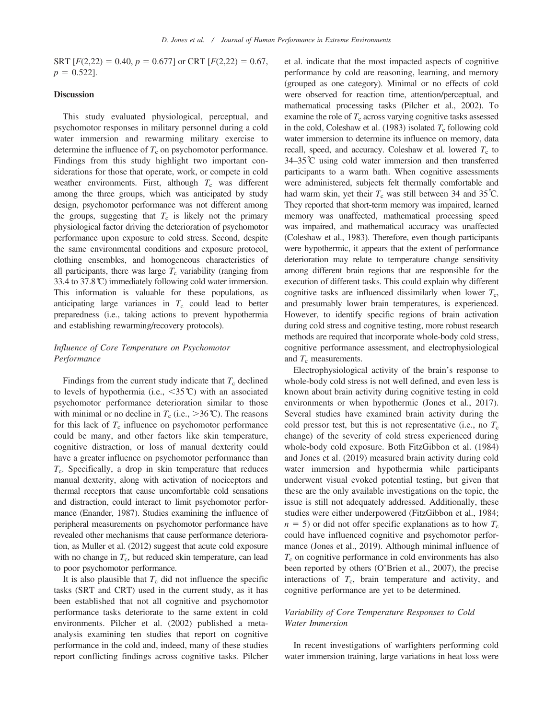SRT  $[F(2,22) = 0.40, p = 0.677]$  or CRT  $[F(2,22) = 0.67,$  $p = 0.522$ .

#### **Discussion**

This study evaluated physiological, perceptual, and psychomotor responses in military personnel during a cold water immersion and rewarming military exercise to determine the influence of  $T_c$  on psychomotor performance. Findings from this study highlight two important considerations for those that operate, work, or compete in cold weather environments. First, although  $T_c$  was different among the three groups, which was anticipated by study design, psychomotor performance was not different among the groups, suggesting that  $T_c$  is likely not the primary physiological factor driving the deterioration of psychomotor performance upon exposure to cold stress. Second, despite the same environmental conditions and exposure protocol, clothing ensembles, and homogeneous characteristics of all participants, there was large  $T_c$  variability (ranging from 33.4 to 37.8˚C) immediately following cold water immersion. This information is valuable for these populations, as anticipating large variances in  $T_c$  could lead to better preparedness (i.e., taking actions to prevent hypothermia and establishing rewarming/recovery protocols).

#### Influence of Core Temperature on Psychomotor Performance

Findings from the current study indicate that  $T_c$  declined to levels of hypothermia (i.e.,  $\langle 35^{\circ} \text{C} \rangle$  with an associated psychomotor performance deterioration similar to those with minimal or no decline in  $T_c$  (i.e.,  $>36^{\circ}$ C). The reasons for this lack of  $T_c$  influence on psychomotor performance could be many, and other factors like skin temperature, cognitive distraction, or loss of manual dexterity could have a greater influence on psychomotor performance than  $T_c$ . Specifically, a drop in skin temperature that reduces manual dexterity, along with activation of nociceptors and thermal receptors that cause uncomfortable cold sensations and distraction, could interact to limit psychomotor performance (Enander, 1987). Studies examining the influence of peripheral measurements on psychomotor performance have revealed other mechanisms that cause performance deterioration, as Muller et al. (2012) suggest that acute cold exposure with no change in  $T_c$ , but reduced skin temperature, can lead to poor psychomotor performance.

It is also plausible that  $T_c$  did not influence the specific tasks (SRT and CRT) used in the current study, as it has been established that not all cognitive and psychomotor performance tasks deteriorate to the same extent in cold environments. Pilcher et al. (2002) published a metaanalysis examining ten studies that report on cognitive performance in the cold and, indeed, many of these studies report conflicting findings across cognitive tasks. Pilcher et al. indicate that the most impacted aspects of cognitive performance by cold are reasoning, learning, and memory (grouped as one category). Minimal or no effects of cold were observed for reaction time, attention/perceptual, and mathematical processing tasks (Pilcher et al., 2002). To examine the role of  $T_c$  across varying cognitive tasks assessed in the cold, Coleshaw et al. (1983) isolated  $T_c$  following cold water immersion to determine its influence on memory, data recall, speed, and accuracy. Coleshaw et al. lowered  $T_c$  to 34–35˚C using cold water immersion and then transferred participants to a warm bath. When cognitive assessments were administered, subjects felt thermally comfortable and had warm skin, yet their  $T_c$  was still between 34 and 35°C. They reported that short-term memory was impaired, learned memory was unaffected, mathematical processing speed was impaired, and mathematical accuracy was unaffected (Coleshaw et al., 1983). Therefore, even though participants were hypothermic, it appears that the extent of performance deterioration may relate to temperature change sensitivity among different brain regions that are responsible for the execution of different tasks. This could explain why different cognitive tasks are influenced dissimilarly when lower  $T_c$ , and presumably lower brain temperatures, is experienced. However, to identify specific regions of brain activation during cold stress and cognitive testing, more robust research methods are required that incorporate whole-body cold stress, cognitive performance assessment, and electrophysiological and  $T_c$  measurements.

Electrophysiological activity of the brain's response to whole-body cold stress is not well defined, and even less is known about brain activity during cognitive testing in cold environments or when hypothermic (Jones et al., 2017). Several studies have examined brain activity during the cold pressor test, but this is not representative (i.e., no  $T_c$ ) change) of the severity of cold stress experienced during whole-body cold exposure. Both FitzGibbon et al. (1984) and Jones et al. (2019) measured brain activity during cold water immersion and hypothermia while participants underwent visual evoked potential testing, but given that these are the only available investigations on the topic, the issue is still not adequately addressed. Additionally, these studies were either underpowered (FitzGibbon et al., 1984;  $n = 5$ ) or did not offer specific explanations as to how  $T_c$ could have influenced cognitive and psychomotor performance (Jones et al., 2019). Although minimal influence of  $T<sub>c</sub>$  on cognitive performance in cold environments has also been reported by others (O'Brien et al., 2007), the precise interactions of  $T_c$ , brain temperature and activity, and cognitive performance are yet to be determined.

#### Variability of Core Temperature Responses to Cold Water Immersion

In recent investigations of warfighters performing cold water immersion training, large variations in heat loss were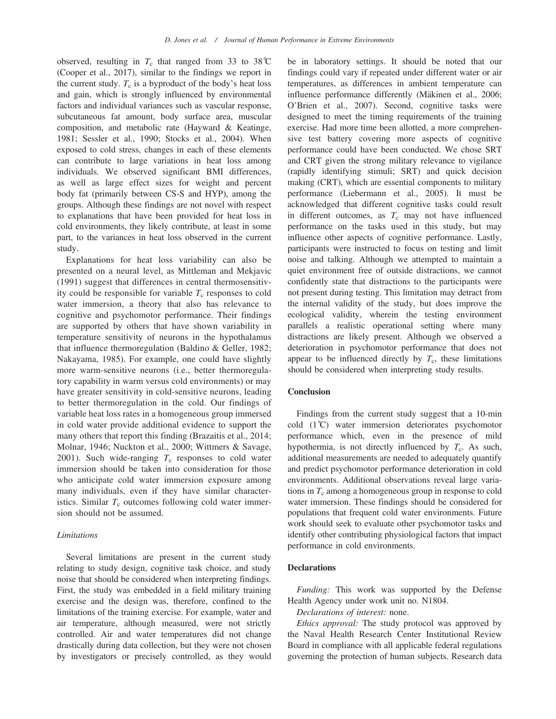observed, resulting in  $T_c$  that ranged from 33 to 38°C (Cooper et al., 2017), similar to the findings we report in the current study.  $T_c$  is a byproduct of the body's heat loss and gain, which is strongly influenced by environmental factors and individual variances such as vascular response, subcutaneous fat amount, body surface area, muscular composition, and metabolic rate (Hayward & Keatinge, 1981; Sessler et al., 1990; Stocks et al., 2004). When exposed to cold stress, changes in each of these elements can contribute to large variations in heat loss among individuals. We observed significant BMI differences, as well as large effect sizes for weight and percent body fat (primarily between CS-S and HYP), among the groups. Although these findings are not novel with respect to explanations that have been provided for heat loss in cold environments, they likely contribute, at least in some part, to the variances in heat loss observed in the current study.

Explanations for heat loss variability can also be presented on a neural level, as Mittleman and Mekjavic (1991) suggest that differences in central thermosensitivity could be responsible for variable  $T_c$  responses to cold water immersion, a theory that also has relevance to cognitive and psychomotor performance. Their findings are supported by others that have shown variability in temperature sensitivity of neurons in the hypothalamus that influence thermoregulation (Baldino & Geller, 1982; Nakayama, 1985). For example, one could have slightly more warm-sensitive neurons (i.e., better thermoregulatory capability in warm versus cold environments) or may have greater sensitivity in cold-sensitive neurons, leading to better thermoregulation in the cold. Our findings of variable heat loss rates in a homogeneous group immersed in cold water provide additional evidence to support the many others that report this finding (Brazaitis et al., 2014; Molnar, 1946; Nuckton et al., 2000; Wittmers & Savage, 2001). Such wide-ranging  $T_c$  responses to cold water immersion should be taken into consideration for those who anticipate cold water immersion exposure among many individuals, even if they have similar characteristics. Similar  $T_c$  outcomes following cold water immersion should not be assumed.

#### Limitations

Several limitations are present in the current study relating to study design, cognitive task choice, and study noise that should be considered when interpreting findings. First, the study was embedded in a field military training exercise and the design was, therefore, confined to the limitations of the training exercise. For example, water and air temperature, although measured, were not strictly controlled. Air and water temperatures did not change drastically during data collection, but they were not chosen by investigators or precisely controlled, as they would be in laboratory settings. It should be noted that our findings could vary if repeated under different water or air temperatures, as differences in ambient temperature can influence performance differently (Mäkinen et al., 2006; O'Brien et al., 2007). Second, cognitive tasks were designed to meet the timing requirements of the training exercise. Had more time been allotted, a more comprehensive test battery covering more aspects of cognitive performance could have been conducted. We chose SRT and CRT given the strong military relevance to vigilance (rapidly identifying stimuli; SRT) and quick decision making (CRT), which are essential components to military performance (Liebermann et al., 2005). It must be acknowledged that different cognitive tasks could result in different outcomes, as  $T_c$  may not have influenced performance on the tasks used in this study, but may influence other aspects of cognitive performance. Lastly, participants were instructed to focus on testing and limit noise and talking. Although we attempted to maintain a quiet environment free of outside distractions, we cannot confidently state that distractions to the participants were not present during testing. This limitation may detract from the internal validity of the study, but does improve the ecological validity, wherein the testing environment parallels a realistic operational setting where many distractions are likely present. Although we observed a deterioration in psychomotor performance that does not appear to be influenced directly by  $T_c$ , these limitations should be considered when interpreting study results.

#### **Conclusion**

Findings from the current study suggest that a 10-min cold (1˚C) water immersion deteriorates psychomotor performance which, even in the presence of mild hypothermia, is not directly influenced by  $T_c$ . As such, additional measurements are needed to adequately quantify and predict psychomotor performance deterioration in cold environments. Additional observations reveal large variations in  $T_c$  among a homogeneous group in response to cold water immersion. These findings should be considered for populations that frequent cold water environments. Future work should seek to evaluate other psychomotor tasks and identify other contributing physiological factors that impact performance in cold environments.

#### **Declarations**

Funding: This work was supported by the Defense Health Agency under work unit no. N1804.

Declarations of interest: none.

Ethics approval: The study protocol was approved by the Naval Health Research Center Institutional Review Board in compliance with all applicable federal regulations governing the protection of human subjects. Research data